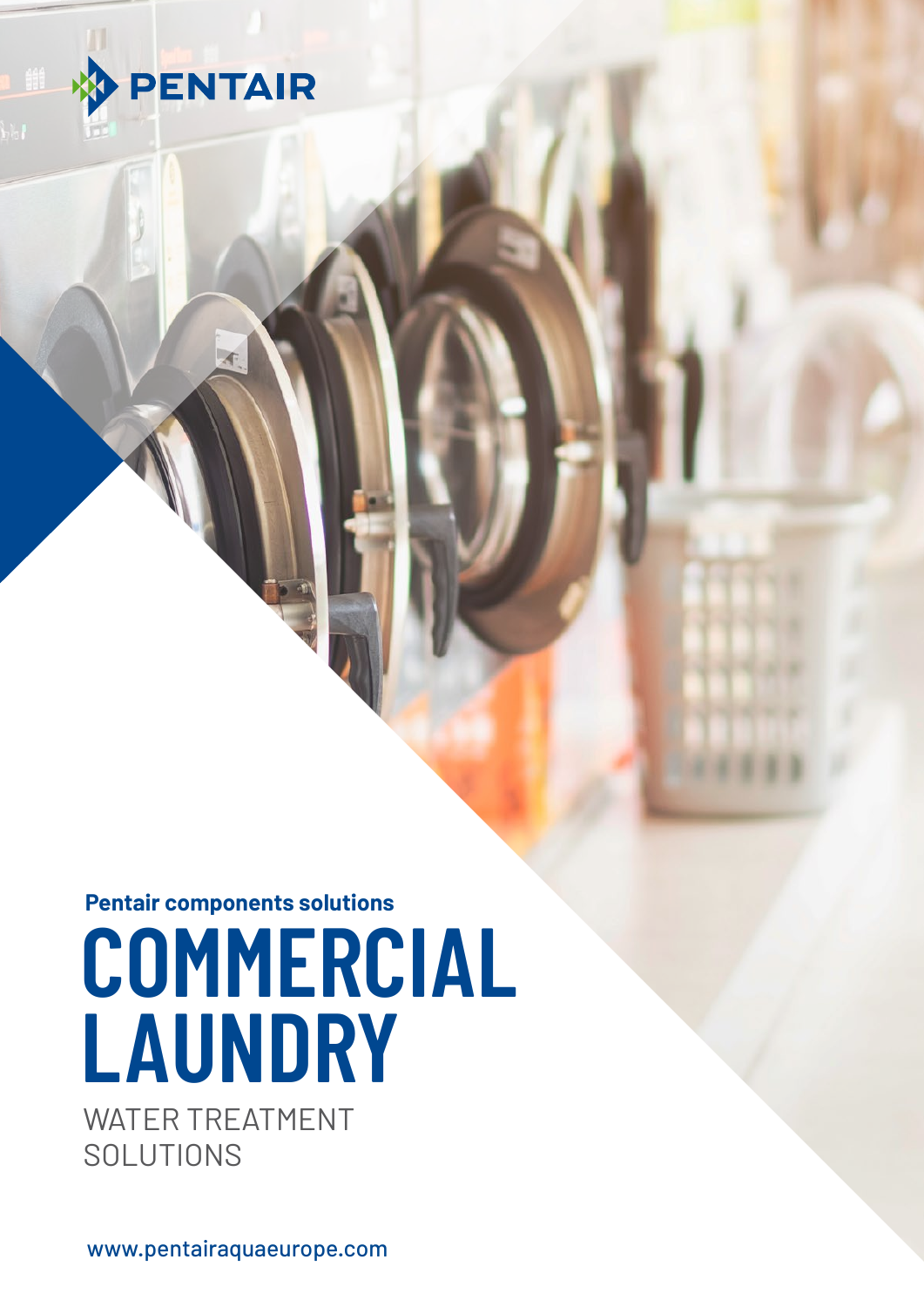

# **COMMERCIAL LAUNDRY** WATER TREATMENT **Pentair components solutions**

SOLUTIONS

www.pentairaquaeurope.com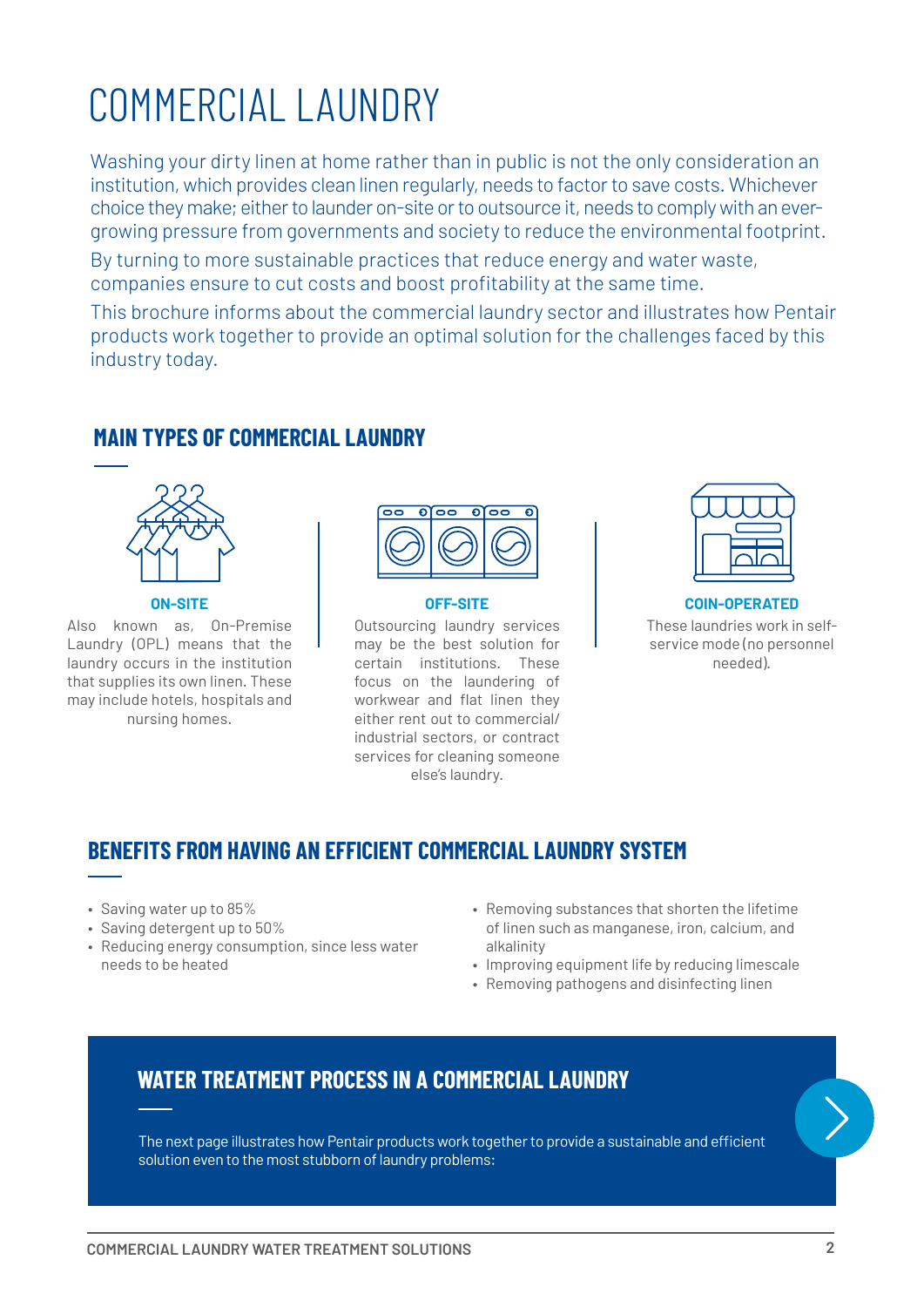#### **COMMERCIAL LAUNDRY WATER TREATMENT SOLUTIONS 2**

• Reducing energy consumption, since less water

## COMMERCIAL LAUNDRY

Washing your dirty linen at home rather than in public is not the only consideration an institution, which provides clean linen regularly, needs to factor to save costs. Whichever choice they make; either to launder on-site or to outsource it, needs to comply with an evergrowing pressure from governments and society to reduce the environmental footprint.

By turning to more sustainable practices that reduce energy and water waste, companies ensure to cut costs and boost profitability at the same time.

This brochure informs about the commercial laundry sector and illustrates how Pentair products work together to provide an optimal solution for the challenges faced by this industry today.

## **MAIN TYPES OF COMMERCIAL LAUNDRY**

### **ON-SITE** Also known as, On-Premise Laundry (OPL) means that the laundry occurs in the institution that supplies its own linen. These may include hotels, hospitals and

nursing homes.

• Saving water up to 85% • Saving detergent up to 50%

needs to be heated



#### **OFF-SITE**

Outsourcing laundry services may be the best solution for certain institutions. These focus on the laundering of workwear and flat linen they either rent out to commercial/ industrial sectors, or contract services for cleaning someone else's laundry.



#### **COIN-OPERATED** These laundries work in selfservice mode (no personnel needed).

- Removing substances that shorten the lifetime of linen such as manganese, iron, calcium, and alkalinity
	- Improving equipment life by reducing limescale
	- Removing pathogens and disinfecting linen

## **WATER TREATMENT PROCESS IN A COMMERCIAL LAUNDRY**

**BENEFITS FROM HAVING AN EFFICIENT COMMERCIAL LAUNDRY SYSTEM**

The next page illustrates how Pentair products work together to provide a sustainable and efficient solution even to the most stubborn of laundry problems: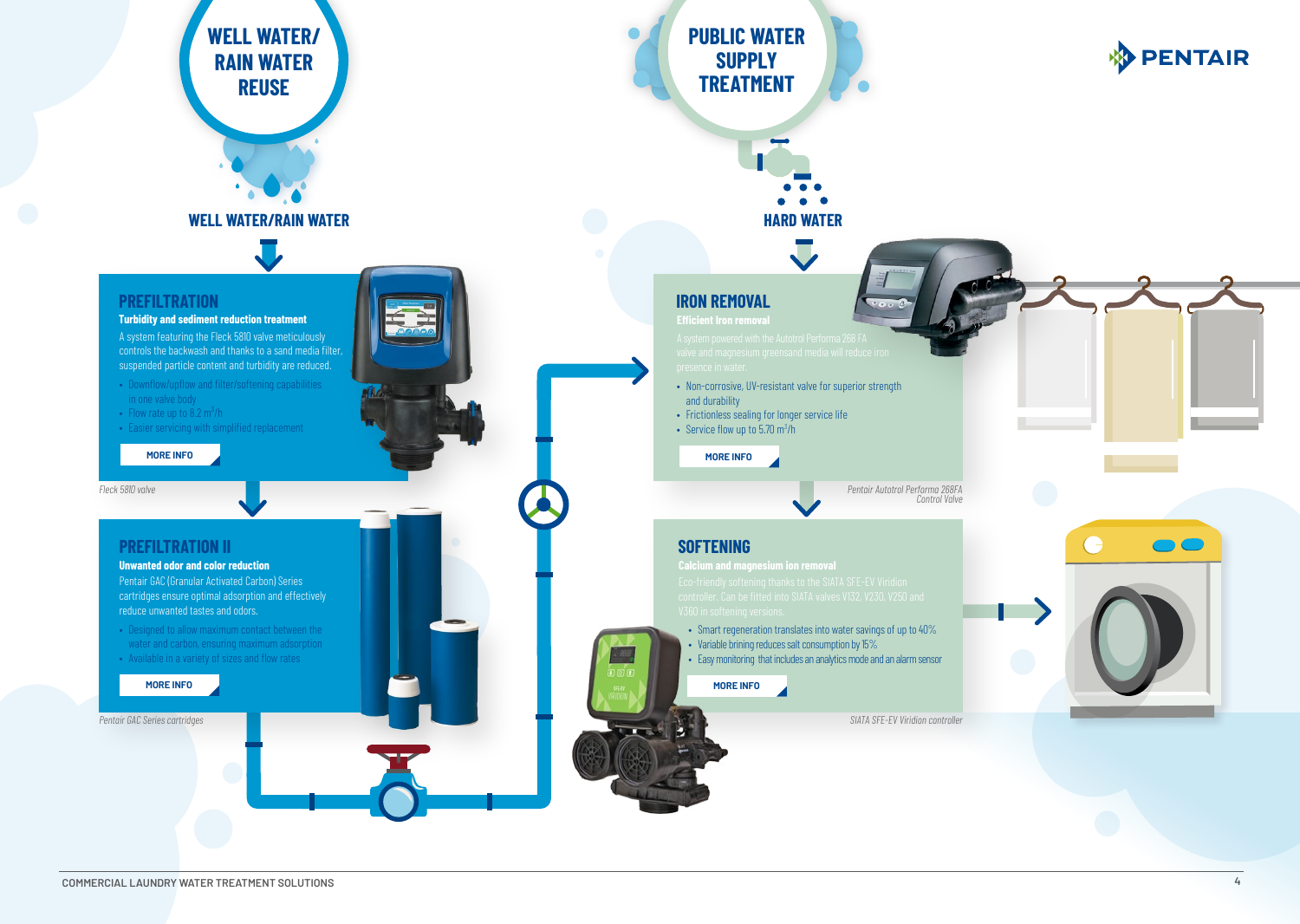

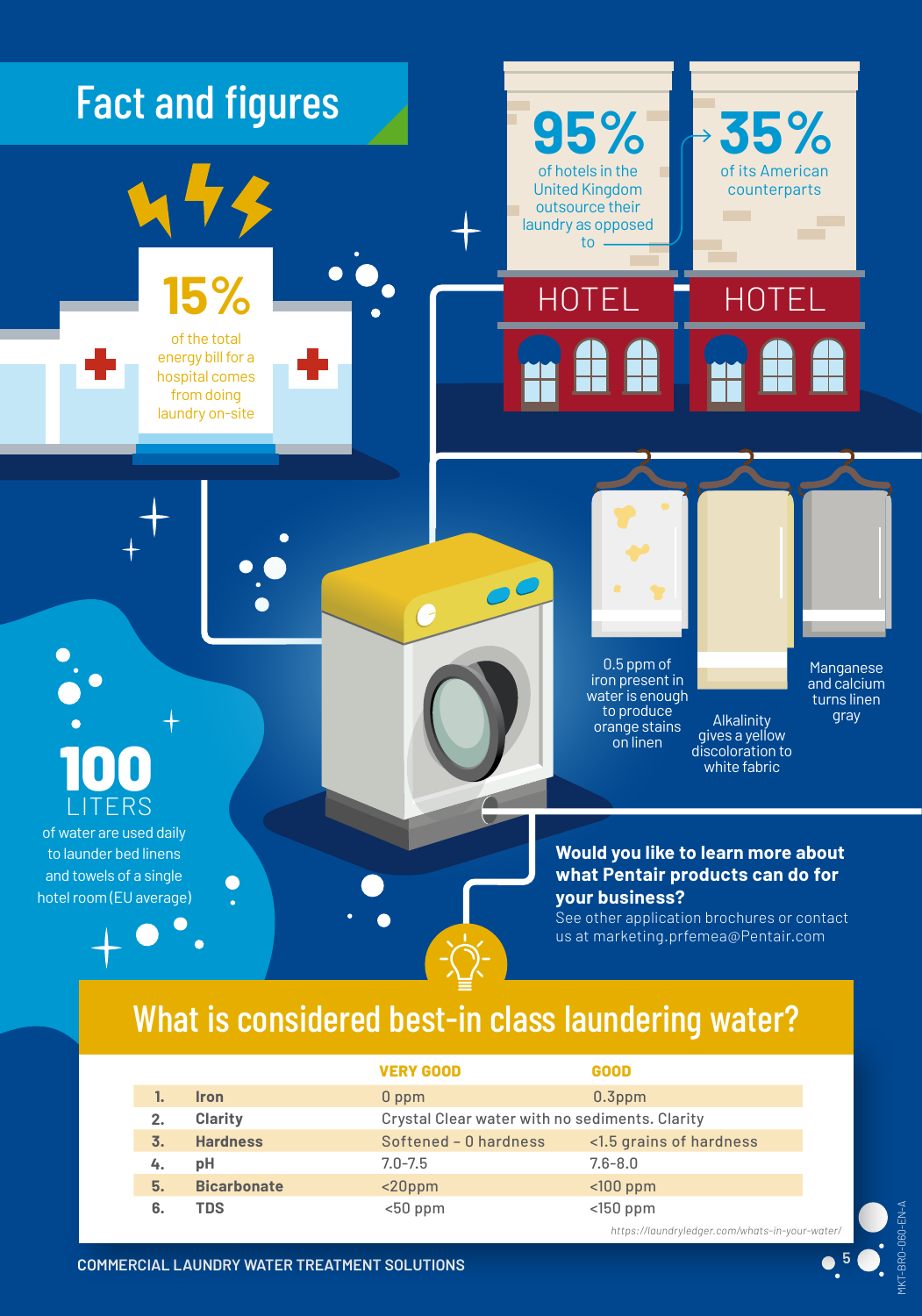

## What is considered best-in class laundering water?

|    |                    | <b>VERY GOOD</b>      | <b>GOOD</b>                                    |  |
|----|--------------------|-----------------------|------------------------------------------------|--|
|    | <b>Iron</b>        | $0$ ppm               | $0.3$ ppm                                      |  |
| 2. | <b>Clarity</b>     |                       | Crystal Clear water with no sediments. Clarity |  |
| 3. | <b>Hardness</b>    | Softened - 0 hardness | <1.5 grains of hardness                        |  |
| 4. | рH                 | $7.0 - 7.5$           | $7.6 - 8.0$                                    |  |
| 5. | <b>Bicarbonate</b> | $<$ 20ppm             | $100$ ppm                                      |  |
| 6. | TDS                | $<$ 50 ppm            | $<$ 150 ppm                                    |  |
|    |                    |                       |                                                |  |

*https://laundryledger.com/whats-in-your-water/*

MKT-BRO-060-EN-A

1KT-BRO-060-EN-A